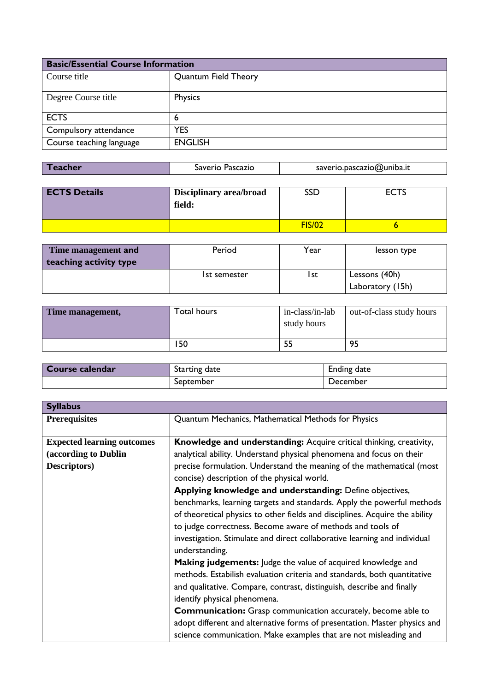| <b>Basic/Essential Course Information</b> |                      |
|-------------------------------------------|----------------------|
| Course title                              | Quantum Field Theory |
| Degree Course title                       | Physics              |
| <b>ECTS</b>                               | 6                    |
| Compulsory attendance                     | YES                  |
| Course teaching language                  | <b>ENGLISH</b>       |

| Teacher | Saverio Pascazio | saverio.pascazio@uniba.it |
|---------|------------------|---------------------------|
|---------|------------------|---------------------------|

| <b>ECTS Details</b> | <b>Disciplinary area/broad</b><br>field: | SSD           | $c \curvearrowright$ |
|---------------------|------------------------------------------|---------------|----------------------|
|                     |                                          | <b>FIS/02</b> |                      |

| Time management and    | Period       | Year | lesson type      |
|------------------------|--------------|------|------------------|
| teaching activity type |              |      |                  |
|                        | 1st semester | l st | Lessons (40h)    |
|                        |              |      | Laboratory (15h) |

| Time management, | Total hours | in-class/in-lab<br>study hours | out-of-class study hours |
|------------------|-------------|--------------------------------|--------------------------|
|                  | 150         | 55                             | 95                       |

| Course calendar | Starting date | Ending date |
|-----------------|---------------|-------------|
|                 | September     | December    |

| <b>Syllabus</b>                   |                                                                                             |
|-----------------------------------|---------------------------------------------------------------------------------------------|
| <b>Prerequisites</b>              | Quantum Mechanics, Mathematical Methods for Physics                                         |
| <b>Expected learning outcomes</b> | Knowledge and understanding: Acquire critical thinking, creativity,                         |
| (according to Dublin              | analytical ability. Understand physical phenomena and focus on their                        |
| Descriptors)                      | precise formulation. Understand the meaning of the mathematical (most                       |
|                                   | concise) description of the physical world.                                                 |
|                                   | Applying knowledge and understanding: Define objectives,                                    |
|                                   | benchmarks, learning targets and standards. Apply the powerful methods                      |
|                                   | of theoretical physics to other fields and disciplines. Acquire the ability                 |
|                                   | to judge correctness. Become aware of methods and tools of                                  |
|                                   | investigation. Stimulate and direct collaborative learning and individual<br>understanding. |
|                                   | <b>Making judgements:</b> Judge the value of acquired knowledge and                         |
|                                   | methods. Estabilish evaluation criteria and standards, both quantitative                    |
|                                   | and qualitative. Compare, contrast, distinguish, describe and finally                       |
|                                   | identify physical phenomena.                                                                |
|                                   | <b>Communication:</b> Grasp communication accurately, become able to                        |
|                                   | adopt different and alternative forms of presentation. Master physics and                   |
|                                   | science communication. Make examples that are not misleading and                            |